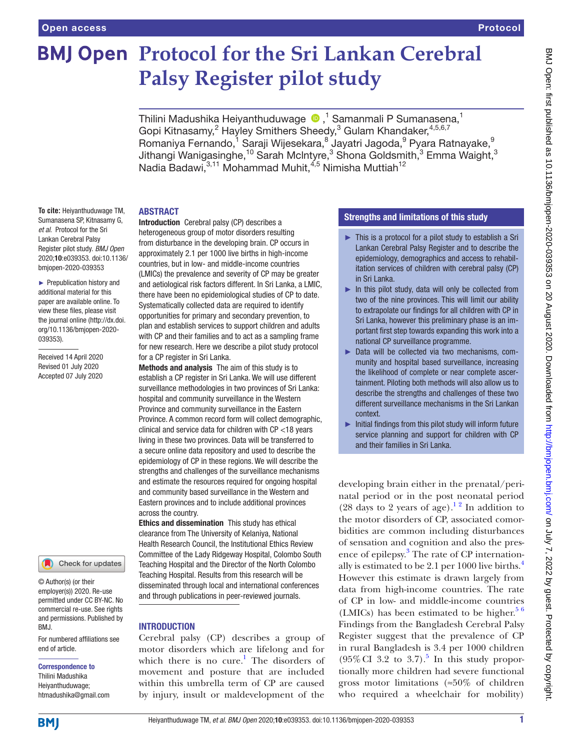# Protocol

# **BMJ Open Protocol for the Sri Lankan Cerebral Palsy Register pilot study**

Thilini Madushika Heiyanthuduwage  $\bullet$  ,<sup>1</sup> Samanmali P Sumanasena,<sup>1</sup> Gopi Kitnasamy,<sup>2</sup> Hayley Smithers Sheedy,<sup>3</sup> Gulam Khandaker,<sup>4,5,6,7</sup> Romaniya Fernando,<sup>1</sup> Saraji Wijesekara,<sup>8</sup> Jayatri Jagoda,<sup>9</sup> Pyara Ratnayake,<sup>9</sup> Jithangi Wanigasinghe, $^{\rm 10}$  Sarah McIntyre, $^{\rm 3}$  Shona Goldsmith, $^{\rm 3}$  Emma Waight, $^{\rm 3}$ Nadia Badawi, 3,11 Mohammad Muhit, <sup>4,5</sup> Nimisha Muttiah<sup>12</sup>

### ABSTRACT

**To cite:** Heiyanthuduwage TM, Sumanasena SP, Kitnasamy G, *et al*. Protocol for the Sri Lankan Cerebral Palsy Register pilot study. *BMJ Open* 2020;10:e039353. doi:10.1136/ bmjopen-2020-039353

► Prepublication history and additional material for this paper are available online. To view these files, please visit the journal online (http://dx.doi. org/10.1136/bmjopen-2020- 039353).

Received 14 April 2020 Revised 01 July 2020 Accepted 07 July 2020



© Author(s) (or their employer(s)) 2020. Re-use permitted under CC BY-NC. No commercial re-use. See rights and permissions. Published by BMJ.

For numbered affiliations see end of article.

#### Correspondence to

Thilini Madushika Heiyanthuduwage; htmadushika@gmail.com Introduction Cerebral palsy (CP) describes a heterogeneous group of motor disorders resulting from disturbance in the developing brain. CP occurs in approximately 2.1 per 1000 live births in high-income countries, but in low- and middle-income countries (LMICs) the prevalence and severity of CP may be greater and aetiological risk factors different. In Sri Lanka, a LMIC, there have been no epidemiological studies of CP to date. Systematically collected data are required to identify opportunities for primary and secondary prevention, to plan and establish services to support children and adults with CP and their families and to act as a sampling frame for new research. Here we describe a pilot study protocol for a CP register in Sri Lanka.

Methods and analysis The aim of this study is to establish a CP register in Sri Lanka. We will use different surveillance methodologies in two provinces of Sri Lanka: hospital and community surveillance in the Western Province and community surveillance in the Eastern Province. A common record form will collect demographic, clinical and service data for children with CP <18 years living in these two provinces. Data will be transferred to a secure online data repository and used to describe the epidemiology of CP in these regions. We will describe the strengths and challenges of the surveillance mechanisms and estimate the resources required for ongoing hospital and community based surveillance in the Western and Eastern provinces and to include additional provinces across the country.

Ethics and dissemination This study has ethical clearance from The University of Kelaniya, National Health Research Council, the Institutional Ethics Review Committee of the Lady Ridgeway Hospital, Colombo South Teaching Hospital and the Director of the North Colombo Teaching Hospital. Results from this research will be disseminated through local and international conferences and through publications in peer-reviewed journals.

# **INTRODUCTION**

Cerebral palsy (CP) describes a group of motor disorders which are lifelong and for which there is no cure.<sup>1</sup> The disorders of movement and posture that are included within this umbrella term of CP are caused by injury, insult or maldevelopment of the

# Strengths and limitations of this study

- ► This is a protocol for a pilot study to establish a Sri Lankan Cerebral Palsy Register and to describe the epidemiology, demographics and access to rehabilitation services of children with cerebral palsy (CP) in Sri Lanka.
- $\blacktriangleright$  In this pilot study, data will only be collected from two of the nine provinces. This will limit our ability to extrapolate our findings for all children with CP in Sri Lanka, however this preliminary phase is an important first step towards expanding this work into a national CP surveillance programme.
- ► Data will be collected via two mechanisms, community and hospital based surveillance, increasing the likelihood of complete or near complete ascertainment. Piloting both methods will also allow us to describe the strengths and challenges of these two different surveillance mechanisms in the Sri Lankan context.
- $\blacktriangleright$  Initial findings from this pilot study will inform future service planning and support for children with CP and their families in Sri Lanka.

developing brain either in the prenatal/perinatal period or in the post neonatal period (28 days to 2 years of age).<sup>12</sup> In addition to the motor disorders of CP, associated comorbidities are common including disturbances of sensation and cognition and also the presence of epilepsy.<sup>3</sup> The rate of CP internationally is estimated to be 2.1 per 1000 live births. $4$ However this estimate is drawn largely from data from high-income countries. The rate of CP in low- and middle-income countries (LMICs) has been estimated to be higher. $56$ Findings from the Bangladesh Cerebral Palsy Register suggest that the prevalence of CP in rural Bangladesh is 3.4 per 1000 children  $(95\% \text{ CI } 3.2 \text{ to } 3.7).$  $(95\% \text{ CI } 3.2 \text{ to } 3.7).$  $(95\% \text{ CI } 3.2 \text{ to } 3.7).$ <sup>5</sup> In this study proportionally more children had severe functional gross motor limitations (≈50% of children who required a wheelchair for mobility)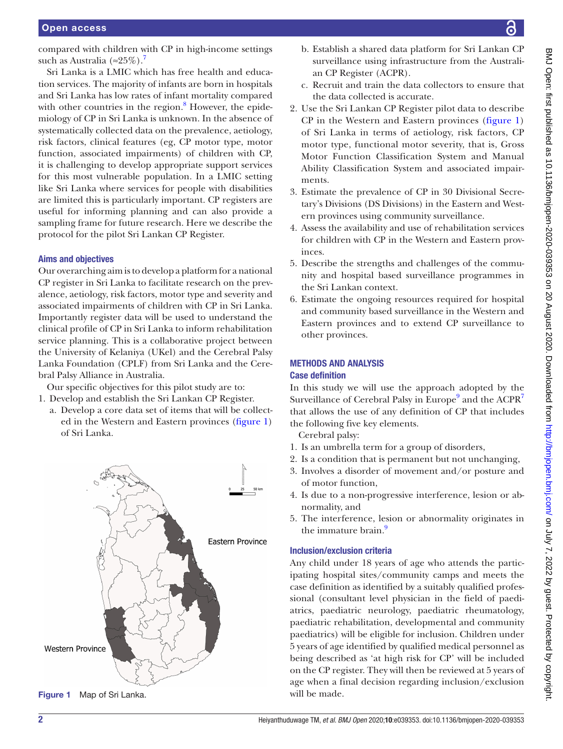compared with children with CP in high-income settings such as Australia (≈25%).<sup>7</sup>

Sri Lanka is a LMIC which has free health and education services. The majority of infants are born in hospitals and Sri Lanka has low rates of infant mortality compared with other countries in the region.<sup>[8](#page-5-5)</sup> However, the epidemiology of CP in Sri Lanka is unknown. In the absence of systematically collected data on the prevalence, aetiology, risk factors, clinical features (eg, CP motor type, motor function, associated impairments) of children with CP, it is challenging to develop appropriate support services for this most vulnerable population. In a LMIC setting like Sri Lanka where services for people with disabilities are limited this is particularly important. CP registers are useful for informing planning and can also provide a sampling frame for future research. Here we describe the protocol for the pilot Sri Lankan CP Register.

# Aims and objectives

Our overarching aim is to develop a platform for a national CP register in Sri Lanka to facilitate research on the prevalence, aetiology, risk factors, motor type and severity and associated impairments of children with CP in Sri Lanka. Importantly register data will be used to understand the clinical profile of CP in Sri Lanka to inform rehabilitation service planning. This is a collaborative project between the University of Kelaniya (UKel) and the Cerebral Palsy Lanka Foundation (CPLF) from Sri Lanka and the Cerebral Palsy Alliance in Australia.

Our specific objectives for this pilot study are to:

- 1. Develop and establish the Sri Lankan CP Register.
	- a. Develop a core data set of items that will be collected in the Western and Eastern provinces ([figure](#page-1-0) 1) of Sri Lanka.



<span id="page-1-0"></span>Figure 1 Map of Sri Lanka. Will be made.

- b. Establish a shared data platform for Sri Lankan CP surveillance using infrastructure from the Australian CP Register (ACPR).
- c. Recruit and train the data collectors to ensure that the data collected is accurate.
- 2. Use the Sri Lankan CP Register pilot data to describe CP in the Western and Eastern provinces ([figure](#page-1-0) 1) of Sri Lanka in terms of aetiology, risk factors, CP motor type, functional motor severity, that is, Gross Motor Function Classification System and Manual Ability Classification System and associated impairments.
- 3. Estimate the prevalence of CP in 30 Divisional Secretary's Divisions (DS Divisions) in the Eastern and Western provinces using community surveillance.
- 4. Assess the availability and use of rehabilitation services for children with CP in the Western and Eastern provinces.
- 5. Describe the strengths and challenges of the community and hospital based surveillance programmes in the Sri Lankan context.
- 6. Estimate the ongoing resources required for hospital and community based surveillance in the Western and Eastern provinces and to extend CP surveillance to other provinces.

### METHODS AND ANALYSIS Case definition

In this study we will use the approach adopted by the Surveillance of Cerebral Palsy in Europe<sup>[9](#page-5-6)</sup> and the ACPR<sup>[7](#page-5-4)</sup> that allows the use of any definition of CP that includes the following five key elements.

Cerebral palsy:

- 1. Is an umbrella term for a group of disorders,
- 2. Is a condition that is permanent but not unchanging,
- 3. Involves a disorder of movement and/or posture and of motor function,
- 4. Is due to a non-progressive interference, lesion or abnormality, and
- 5. The interference, lesion or abnormality originates in the immature brain.<sup>[9](#page-5-6)</sup>

# Inclusion/exclusion criteria

Any child under 18 years of age who attends the participating hospital sites/community camps and meets the case definition as identified by a suitably qualified professional (consultant level physician in the field of paediatrics, paediatric neurology, paediatric rheumatology, paediatric rehabilitation, developmental and community paediatrics) will be eligible for inclusion. Children under 5 years of age identified by qualified medical personnel as being described as 'at high risk for CP' will be included on the CP register. They will then be reviewed at 5 years of age when a final decision regarding inclusion/exclusion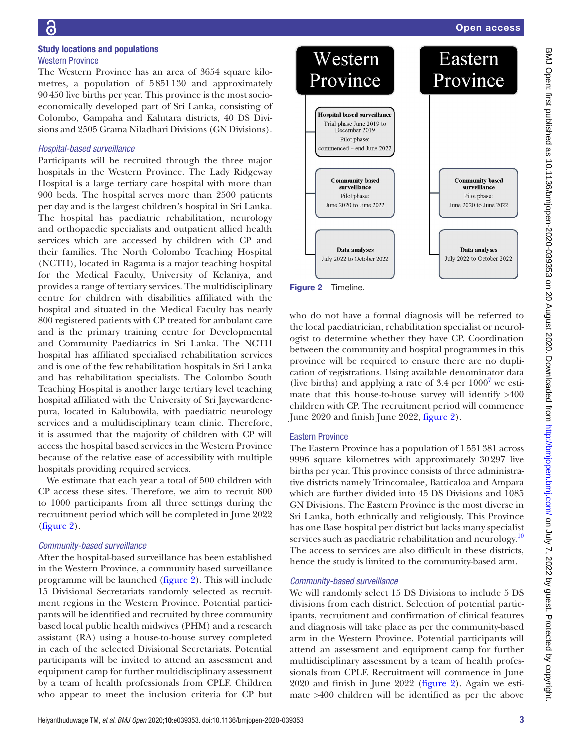### Study locations and populations Western Province

The Western Province has an area of 3654 square kilometres, a population of 5851130 and approximately 90450 live births per year. This province is the most socioeconomically developed part of Sri Lanka, consisting of Colombo, Gampaha and Kalutara districts, 40 DS Divisions and 2505 Grama Niladhari Divisions (GN Divisions).

### *Hospital-based surveillance*

Participants will be recruited through the three major hospitals in the Western Province. The Lady Ridgeway Hospital is a large tertiary care hospital with more than 900 beds. The hospital serves more than 2500 patients per day and is the largest children's hospital in Sri Lanka. The hospital has paediatric rehabilitation, neurology and orthopaedic specialists and outpatient allied health services which are accessed by children with CP and their families. The North Colombo Teaching Hospital (NCTH), located in Ragama is a major teaching hospital for the Medical Faculty, University of Kelaniya, and provides a range of tertiary services. The multidisciplinary centre for children with disabilities affiliated with the hospital and situated in the Medical Faculty has nearly 800 registered patients with CP treated for ambulant care and is the primary training centre for Developmental and Community Paediatrics in Sri Lanka. The NCTH hospital has affiliated specialised rehabilitation services and is one of the few rehabilitation hospitals in Sri Lanka and has rehabilitation specialists. The Colombo South Teaching Hospital is another large tertiary level teaching hospital affiliated with the University of Sri Jayewardenepura, located in Kalubowila, with paediatric neurology services and a multidisciplinary team clinic. Therefore, it is assumed that the majority of children with CP will access the hospital based services in the Western Province because of the relative ease of accessibility with multiple hospitals providing required services.

We estimate that each year a total of 500 children with CP access these sites. Therefore, we aim to recruit 800 to 1000 participants from all three settings during the recruitment period which will be completed in June 2022 ([figure](#page-2-0) 2).

### *Community-based surveillance*

After the hospital-based surveillance has been established in the Western Province, a community based surveillance programme will be launched [\(figure](#page-2-0) 2). This will include 15 Divisional Secretariats randomly selected as recruitment regions in the Western Province. Potential participants will be identified and recruited by three community based local public health midwives (PHM) and a research assistant (RA) using a house-to-house survey completed in each of the selected Divisional Secretariats. Potential participants will be invited to attend an assessment and equipment camp for further multidisciplinary assessment by a team of health professionals from CPLF. Children who appear to meet the inclusion criteria for CP but



<span id="page-2-0"></span>Figure 2 Timeline.

who do not have a formal diagnosis will be referred to the local paediatrician, rehabilitation specialist or neurologist to determine whether they have CP. Coordination between the community and hospital programmes in this province will be required to ensure there are no duplication of registrations. Using available denominator data (live births) and applying a rate of  $3.4$  per  $1000^7$  $1000^7$  we estimate that this house-to-house survey will identify >400 children with CP. The recruitment period will commence June 2020 and finish June 2022, [figure](#page-2-0) 2).

# Eastern Province

The Eastern Province has a population of 1551381 across 9996 square kilometres with approximately 30297 live births per year. This province consists of three administrative districts namely Trincomalee, Batticaloa and Ampara which are further divided into 45 DS Divisions and 1085 GN Divisions. The Eastern Province is the most diverse in Sri Lanka, both ethnically and religiously. This Province has one Base hospital per district but lacks many specialist services such as paediatric rehabilitation and neurology.<sup>[10](#page-5-7)</sup> The access to services are also difficult in these districts, hence the study is limited to the community-based arm.

# *Community-based surveillance*

We will randomly select 15 DS Divisions to include 5 DS divisions from each district. Selection of potential participants, recruitment and confirmation of clinical features and diagnosis will take place as per the community-based arm in the Western Province. Potential participants will attend an assessment and equipment camp for further multidisciplinary assessment by a team of health professionals from CPLF. Recruitment will commence in June 2020 and finish in June 2022 ([figure](#page-2-0) 2). Again we estimate >400 children will be identified as per the above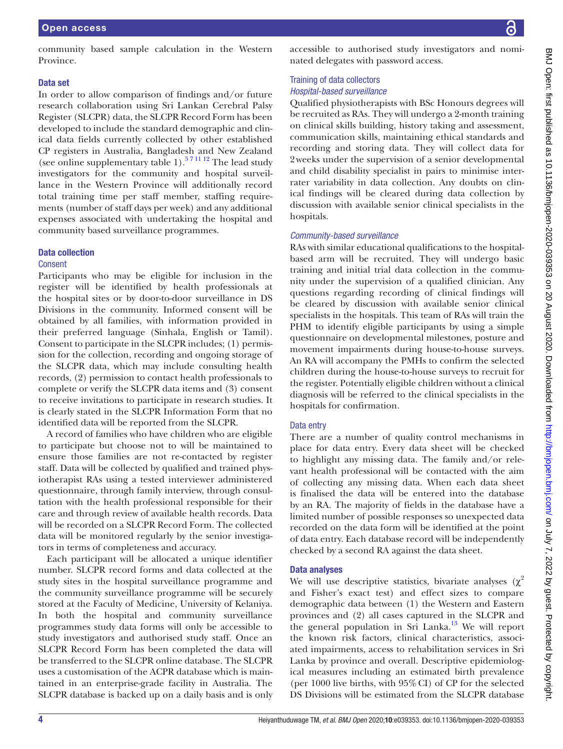### Data set

In order to allow comparison of findings and/or future research collaboration using Sri Lankan Cerebral Palsy Register (SLCPR) data, the SLCPR Record Form has been developed to include the standard demographic and clinical data fields currently collected by other established CP registers in Australia, Bangladesh and New Zealand (see [online supplementary table 1\)](https://dx.doi.org/10.1136/bmjopen-2020-039353).<sup>571112</sup> The lead study investigators for the community and hospital surveillance in the Western Province will additionally record total training time per staff member, staffing requirements (number of staff days per week) and any additional expenses associated with undertaking the hospital and community based surveillance programmes.

### Data collection

### Consent

Participants who may be eligible for inclusion in the register will be identified by health professionals at the hospital sites or by door-to-door surveillance in DS Divisions in the community. Informed consent will be obtained by all families, with information provided in their preferred language (Sinhala, English or Tamil). Consent to participate in the SLCPR includes; (1) permission for the collection, recording and ongoing storage of the SLCPR data, which may include consulting health records, (2) permission to contact health professionals to complete or verify the SLCPR data items and (3) consent to receive invitations to participate in research studies. It is clearly stated in the SLCPR Information Form that no identified data will be reported from the SLCPR.

A record of families who have children who are eligible to participate but choose not to will be maintained to ensure those families are not re-contacted by register staff. Data will be collected by qualified and trained physiotherapist RAs using a tested interviewer administered questionnaire, through family interview, through consultation with the health professional responsible for their care and through review of available health records. Data will be recorded on a SLCPR Record Form. The collected data will be monitored regularly by the senior investigators in terms of completeness and accuracy.

Each participant will be allocated a unique identifier number. SLCPR record forms and data collected at the study sites in the hospital surveillance programme and the community surveillance programme will be securely stored at the Faculty of Medicine, University of Kelaniya. In both the hospital and community surveillance programmes study data forms will only be accessible to study investigators and authorised study staff. Once an SLCPR Record Form has been completed the data will be transferred to the SLCPR online database. The SLCPR uses a customisation of the ACPR database which is maintained in an enterprise-grade facility in Australia. The SLCPR database is backed up on a daily basis and is only

accessible to authorised study investigators and nominated delegates with password access.

# Training of data collectors

### *Hospital-based surveillance*

Qualified physiotherapists with BSc Honours degrees will be recruited as RAs. They will undergo a 2-month training on clinical skills building, history taking and assessment, communication skills, maintaining ethical standards and recording and storing data. They will collect data for 2weeks under the supervision of a senior developmental and child disability specialist in pairs to minimise interrater variability in data collection. Any doubts on clinical findings will be cleared during data collection by discussion with available senior clinical specialists in the hospitals.

# *Community-based surveillance*

RAs with similar educational qualifications to the hospitalbased arm will be recruited. They will undergo basic training and initial trial data collection in the community under the supervision of a qualified clinician. Any questions regarding recording of clinical findings will be cleared by discussion with available senior clinical specialists in the hospitals. This team of RAs will train the PHM to identify eligible participants by using a simple questionnaire on developmental milestones, posture and movement impairments during house-to-house surveys. An RA will accompany the PMHs to confirm the selected children during the house-to-house surveys to recruit for the register. Potentially eligible children without a clinical diagnosis will be referred to the clinical specialists in the hospitals for confirmation.

# Data entry

There are a number of quality control mechanisms in place for data entry. Every data sheet will be checked to highlight any missing data. The family and/or relevant health professional will be contacted with the aim of collecting any missing data. When each data sheet is finalised the data will be entered into the database by an RA. The majority of fields in the database have a limited number of possible responses so unexpected data recorded on the data form will be identified at the point of data entry. Each database record will be independently checked by a second RA against the data sheet.

# Data analyses

We will use descriptive statistics, bivariate analyses  $(\chi^2)$ and Fisher's exact test) and effect sizes to compare demographic data between (1) the Western and Eastern provinces and (2) all cases captured in the SLCPR and the general population in Sri Lanka.<sup>13</sup> We will report the known risk factors, clinical characteristics, associated impairments, access to rehabilitation services in Sri Lanka by province and overall. Descriptive epidemiological measures including an estimated birth prevalence (per 1000 live births, with 95%CI) of CP for the selected DS Divisions will be estimated from the SLCPR database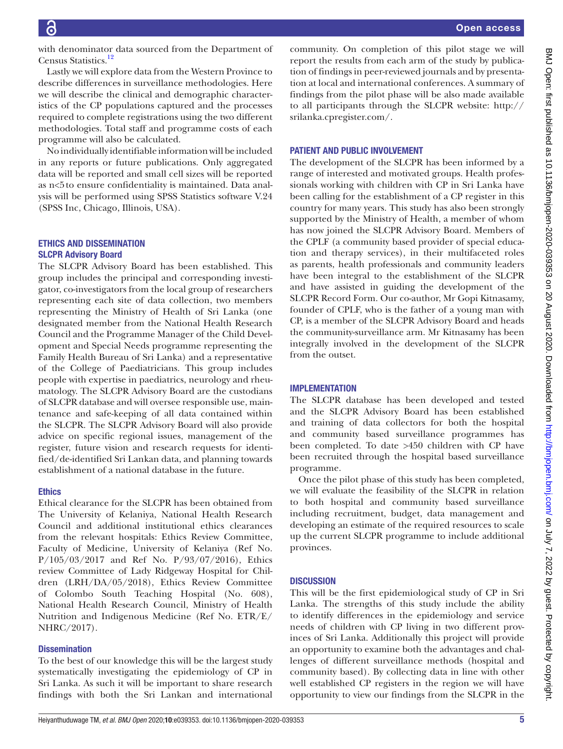BMJ Open: first published as 10.1136/bmjopen-2020-039353 on 20 August 2020. Downloaded from http://bmjopen.bmj.com/ on July 7, 2022 by guest. Protected by copyright BMJ Open: first published as 10.1136/bmjopen-2020-039353 on 20 August 2020. Downloaded from <http://bmjopen.bmj.com/> on July 7, 2022 by guest. Protected by copyright.

with denominator data sourced from the Department of Census Statistics[.12](#page-5-9)

Lastly we will explore data from the Western Province to describe differences in surveillance methodologies. Here we will describe the clinical and demographic characteristics of the CP populations captured and the processes required to complete registrations using the two different methodologies. Total staff and programme costs of each programme will also be calculated.

No individually identifiable information will be included in any reports or future publications. Only aggregated data will be reported and small cell sizes will be reported as n<5to ensure confidentiality is maintained. Data analysis will be performed using SPSS Statistics software V.24 (SPSS Inc, Chicago, Illinois, USA).

# ETHICS AND DISSEMINATION SLCPR Advisory Board

The SLCPR Advisory Board has been established. This group includes the principal and corresponding investigator, co-investigators from the local group of researchers representing each site of data collection, two members representing the Ministry of Health of Sri Lanka (one designated member from the National Health Research Council and the Programme Manager of the Child Development and Special Needs programme representing the Family Health Bureau of Sri Lanka) and a representative of the College of Paediatricians. This group includes people with expertise in paediatrics, neurology and rheumatology. The SLCPR Advisory Board are the custodians of SLCPR database and will oversee responsible use, maintenance and safe-keeping of all data contained within the SLCPR. The SLCPR Advisory Board will also provide advice on specific regional issues, management of the register, future vision and research requests for identified/de-identified Sri Lankan data, and planning towards establishment of a national database in the future.

# **Ethics**

Ethical clearance for the SLCPR has been obtained from The University of Kelaniya, National Health Research Council and additional institutional ethics clearances from the relevant hospitals: Ethics Review Committee, Faculty of Medicine, University of Kelaniya (Ref No. P/105/03/2017 and Ref No. P/93/07/2016), Ethics review Committee of Lady Ridgeway Hospital for Children (LRH/DA/05/2018), Ethics Review Committee of Colombo South Teaching Hospital (No. 608), National Health Research Council, Ministry of Health Nutrition and Indigenous Medicine (Ref No. ETR/E/ NHRC/2017).

# **Dissemination**

To the best of our knowledge this will be the largest study systematically investigating the epidemiology of CP in Sri Lanka. As such it will be important to share research findings with both the Sri Lankan and international

community. On completion of this pilot stage we will report the results from each arm of the study by publication of findings in peer-reviewed journals and by presentation at local and international conferences. A summary of findings from the pilot phase will be also made available to all participants through the SLCPR website: [http://](http://srilanka.cpregister.com/) [srilanka.cpregister.com/](http://srilanka.cpregister.com/).

# PATIENT AND PUBLIC INVOLVEMENT

The development of the SLCPR has been informed by a range of interested and motivated groups. Health professionals working with children with CP in Sri Lanka have been calling for the establishment of a CP register in this country for many years. This study has also been strongly supported by the Ministry of Health, a member of whom has now joined the SLCPR Advisory Board. Members of the CPLF (a community based provider of special education and therapy services), in their multifaceted roles as parents, health professionals and community leaders have been integral to the establishment of the SLCPR and have assisted in guiding the development of the SLCPR Record Form. Our co-author, Mr Gopi Kitnasamy, founder of CPLF, who is the father of a young man with CP, is a member of the SLCPR Advisory Board and heads the community-surveillance arm. Mr Kitnasamy has been integrally involved in the development of the SLCPR from the outset.

# **IMPLEMENTATION**

The SLCPR database has been developed and tested and the SLCPR Advisory Board has been established and training of data collectors for both the hospital and community based surveillance programmes has been completed. To date >450 children with CP have been recruited through the hospital based surveillance programme.

Once the pilot phase of this study has been completed, we will evaluate the feasibility of the SLCPR in relation to both hospital and community based surveillance including recruitment, budget, data management and developing an estimate of the required resources to scale up the current SLCPR programme to include additional provinces.

# **DISCUSSION**

This will be the first epidemiological study of CP in Sri Lanka. The strengths of this study include the ability to identify differences in the epidemiology and service needs of children with CP living in two different provinces of Sri Lanka. Additionally this project will provide an opportunity to examine both the advantages and challenges of different surveillance methods (hospital and community based). By collecting data in line with other well established CP registers in the region we will have opportunity to view our findings from the SLCPR in the